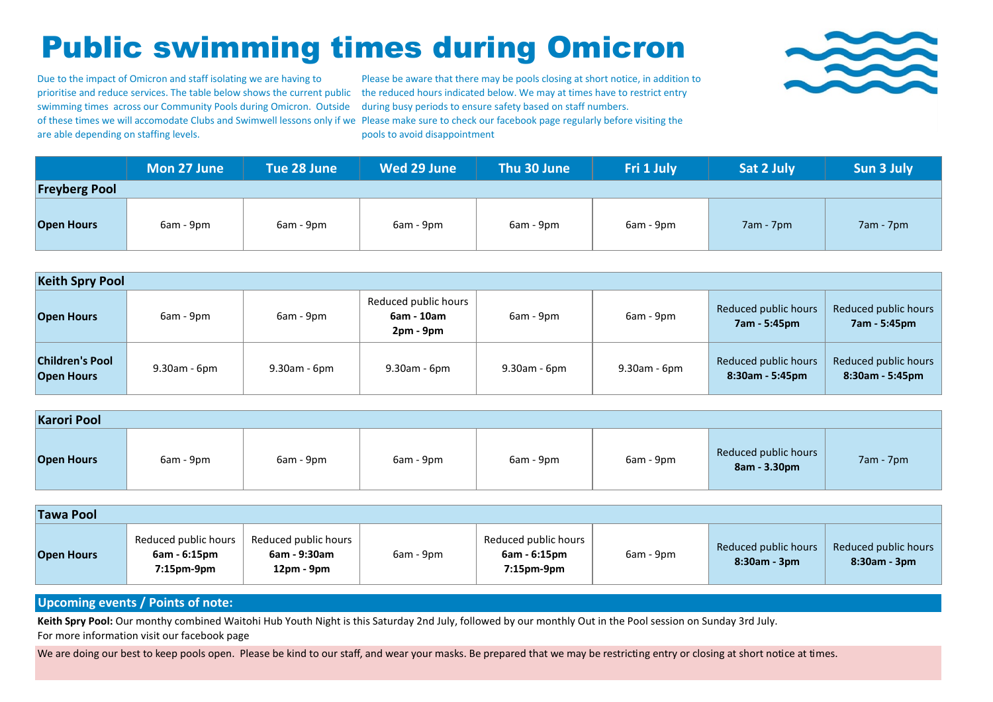## Public swimming times during Omicron

Due to the impact of Omicron and staff isolating we are having to swimming times across our Community Pools during Omicron. Outside are able depending on staffing levels.

prioritise and reduce services. The table below shows the current public the reduced hours indicated below. We may at times have to restrict entry of these times we will accomodate Clubs and Swimwell lessons only if we Please make sure to check our facebook page regularly before visiting the Please be aware that there may be pools closing at short notice, in addition to during busy periods to ensure safety based on staff numbers. pools to avoid disappointment



|                      | Mon 27 June | Tue 28 June | Wed 29 June | Thu 30 June | Fri 1 July | Sat 2 July  | Sun 3 July  |
|----------------------|-------------|-------------|-------------|-------------|------------|-------------|-------------|
| <b>Freyberg Pool</b> |             |             |             |             |            |             |             |
| <b>Open Hours</b>    | 6am - 9pm   | 6am - 9pm   | 6am - 9pm   | 6am - 9pm   | 6am - 9pm  | $7am - 7pm$ | $7am - 7pm$ |

| <b>Keith Spry Pool</b>                      |                    |              |                                                   |                 |                 |                                         |                                         |  |  |
|---------------------------------------------|--------------------|--------------|---------------------------------------------------|-----------------|-----------------|-----------------------------------------|-----------------------------------------|--|--|
| <b>Open Hours</b>                           | 6am - 9pm          | 6am - 9pm    | Reduced public hours<br>6am - 10am<br>$2pm - 9pm$ | 6am - 9pm       | 6am - 9pm       | Reduced public hours<br>7am - 5:45pm    | Reduced public hours<br>7am - 5:45pm    |  |  |
| <b>Children's Pool</b><br><b>Open Hours</b> | $9.30$ am - $6$ pm | 9.30am - 6pm | 9.30am - 6pm                                      | $9.30$ am - 6pm | $9.30$ am - 6pm | Reduced public hours<br>8:30am - 5:45pm | Reduced public hours<br>8:30am - 5:45pm |  |  |

| <b>Karori Pool</b> |           |           |           |           |           |                                      |             |  |  |
|--------------------|-----------|-----------|-----------|-----------|-----------|--------------------------------------|-------------|--|--|
| <b>Open Hours</b>  | 6am - 9pm | 6am - 9pm | 6am - 9pm | 6am - 9pm | 6am - 9pm | Reduced public hours<br>8am - 3.30pm | $7am - 7pm$ |  |  |

| <b>Tawa Pool</b>  |                                                           |                                                    |           |                                                           |           |                                        |                                            |  |  |
|-------------------|-----------------------------------------------------------|----------------------------------------------------|-----------|-----------------------------------------------------------|-----------|----------------------------------------|--------------------------------------------|--|--|
| <b>Open Hours</b> | Reduced public hours<br>6am - 6:15pm<br>$7:15$ pm- $9$ pm | Reduced public hours<br>6am - 9:30am<br>12pm - 9pm | 6am - 9pm | Reduced public hours<br>6am - 6:15pm<br>$7:15$ pm- $9$ pm | 6am - 9pm | Reduced public hours<br>$8:30am - 3pm$ | Reduced public hours<br>$8:30$ am - $3$ pm |  |  |

## **Upcoming events / Points of note:**

**Keith Spry Pool:** Our monthy combined Waitohi Hub Youth Night is this Saturday 2nd July, followed by our monthly Out in the Pool session on Sunday 3rd July.

For more information visit our facebook page

We are doing our best to keep pools open. Please be kind to our staff, and wear your masks. Be prepared that we may be restricting entry or closing at short notice at times.